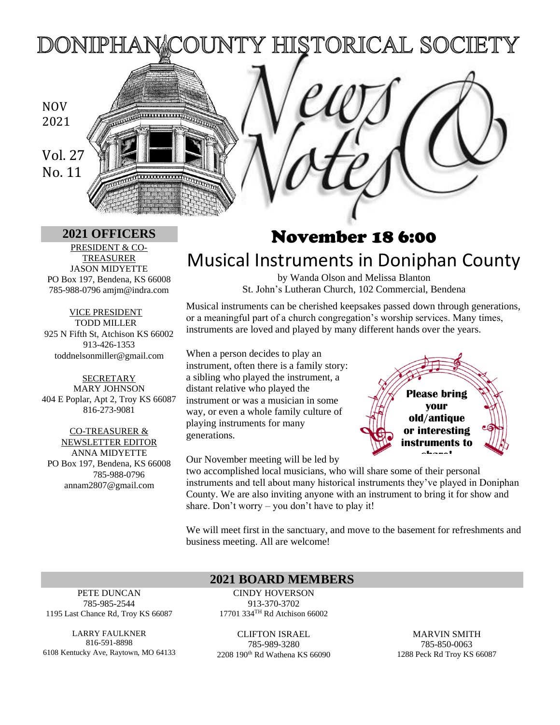### NTY HISTORICAL SOCIETY DONIPHANA

## NOV 2021

Vol. 27 No. 11

PRESIDENT & CO-TREASURER JASON MIDYETTE PO Box 197, Bendena, KS 66008 785-988-0796 amjm@indra.com

VICE PRESIDENT TODD MILLER 925 N Fifth St, Atchison KS 66002 913-426-1353 toddnelsonmiller@gmail.com

**SECRETARY** MARY JOHNSON 404 E Poplar, Apt 2, Troy KS 66087 816-273-9081

CO-TREASURER & NEWSLETTER EDITOR ANNA MIDYETTE PO Box 197, Bendena, KS 66008 785-988-0796 annam2807@gmail.com

# **<sup>2021</sup> OFFICERS** November 18 6:00 Musical Instruments in Doniphan County

by Wanda Olson and Melissa Blanton St. John's Lutheran Church, 102 Commercial, Bendena

Musical instruments can be cherished keepsakes passed down through generations, or a meaningful part of a church congregation's worship services. Many times, instruments are loved and played by many different hands over the years.

When a person decides to play an instrument, often there is a family story: a sibling who played the instrument, a distant relative who played the instrument or was a musician in some way, or even a whole family culture of playing instruments for many generations.

Our November meeting will be led by

two accomplished local musicians, who will share some of their personal instruments and tell about many historical instruments they've played in Doniphan County. We are also inviting anyone with an instrument to bring it for show and share. Don't worry – you don't have to play it!

We will meet first in the sanctuary, and move to the basement for refreshments and business meeting. All are welcome!

#### PETE DUNCAN 785-985-2544 1195 Last Chance Rd, Troy KS 66087

LARRY FAULKNER 816-591-8898 6108 Kentucky Ave, Raytown, MO 64133

CINDY HOVERSON 913-370-3702 17701 334TH Rd Atchison 66002

**2021 BOARD MEMBERS**

CLIFTON ISRAEL 785-989-3280 2208 190th Rd Wathena KS 66090

MARVIN SMITH 785-850-0063 1288 Peck Rd Troy KS 66087

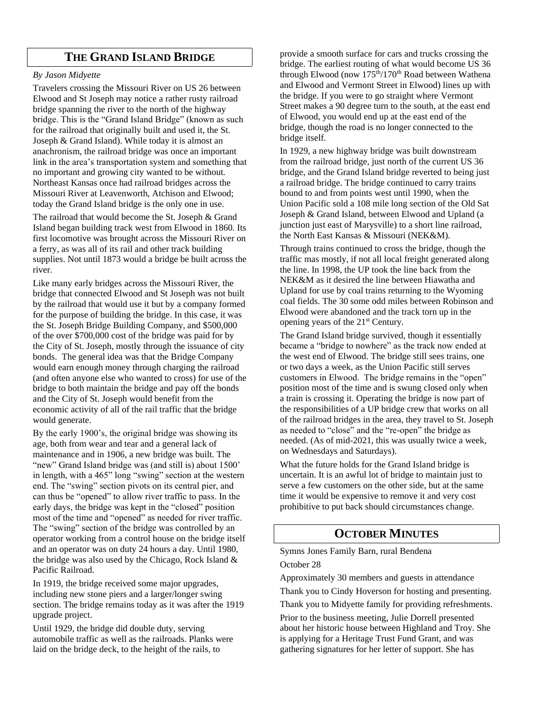#### **THE GRAND ISLAND BRIDGE**

#### *By Jason Midyette*

Travelers crossing the Missouri River on US 26 between Elwood and St Joseph may notice a rather rusty railroad bridge spanning the river to the north of the highway bridge. This is the "Grand Island Bridge" (known as such for the railroad that originally built and used it, the St. Joseph & Grand Island). While today it is almost an anachronism, the railroad bridge was once an important link in the area's transportation system and something that no important and growing city wanted to be without. Northeast Kansas once had railroad bridges across the Missouri River at Leavenworth, Atchison and Elwood; today the Grand Island bridge is the only one in use.

The railroad that would become the St. Joseph & Grand Island began building track west from Elwood in 1860. Its first locomotive was brought across the Missouri River on a ferry, as was all of its rail and other track building supplies. Not until 1873 would a bridge be built across the river.

Like many early bridges across the Missouri River, the bridge that connected Elwood and St Joseph was not built by the railroad that would use it but by a company formed for the purpose of building the bridge. In this case, it was the St. Joseph Bridge Building Company, and \$500,000 of the over \$700,000 cost of the bridge was paid for by the City of St. Joseph, mostly through the issuance of city bonds. The general idea was that the Bridge Company would earn enough money through charging the railroad (and often anyone else who wanted to cross) for use of the bridge to both maintain the bridge and pay off the bonds and the City of St. Joseph would benefit from the economic activity of all of the rail traffic that the bridge would generate.

By the early 1900's, the original bridge was showing its age, both from wear and tear and a general lack of maintenance and in 1906, a new bridge was built. The "new" Grand Island bridge was (and still is) about 1500" in length, with a 465" long "swing" section at the western end. The "swing" section pivots on its central pier, and can thus be "opened" to allow river traffic to pass. In the early days, the bridge was kept in the "closed" position most of the time and "opened" as needed for river traffic. The "swing" section of the bridge was controlled by an operator working from a control house on the bridge itself and an operator was on duty 24 hours a day. Until 1980, the bridge was also used by the Chicago, Rock Island & Pacific Railroad.

In 1919, the bridge received some major upgrades, including new stone piers and a larger/longer swing section. The bridge remains today as it was after the 1919 upgrade project.

Until 1929, the bridge did double duty, serving automobile traffic as well as the railroads. Planks were laid on the bridge deck, to the height of the rails, to

provide a smooth surface for cars and trucks crossing the bridge. The earliest routing of what would become US 36 through Elwood (now 175<sup>th</sup>/170<sup>th</sup> Road between Wathena and Elwood and Vermont Street in Elwood) lines up with the bridge. If you were to go straight where Vermont Street makes a 90 degree turn to the south, at the east end of Elwood, you would end up at the east end of the bridge, though the road is no longer connected to the bridge itself.

In 1929, a new highway bridge was built downstream from the railroad bridge, just north of the current US 36 bridge, and the Grand Island bridge reverted to being just a railroad bridge. The bridge continued to carry trains bound to and from points west until 1990, when the Union Pacific sold a 108 mile long section of the Old Sat Joseph & Grand Island, between Elwood and Upland (a junction just east of Marysville) to a short line railroad. the North East Kansas & Missouri (NEK&M).

Through trains continued to cross the bridge, though the traffic mas mostly, if not all local freight generated along the line. In 1998, the UP took the line back from the NEK&M as it desired the line between Hiawatha and Upland for use by coal trains returning to the Wyoming coal fields. The 30 some odd miles between Robinson and Elwood were abandoned and the track torn up in the opening years of the 21st Century.

The Grand Island bridge survived, though it essentially became a "bridge to nowhere" as the track now ended at the west end of Elwood. The bridge still sees trains, one or two days a week, as the Union Pacific still serves customers in Elwood. The bridge remains in the "open" position most of the time and is swung closed only when a train is crossing it. Operating the bridge is now part of the responsibilities of a UP bridge crew that works on all of the railroad bridges in the area, they travel to St. Joseph as needed to "close" and the "re-open" the bridge as needed. (As of mid-2021, this was usually twice a week, on Wednesdays and Saturdays).

What the future holds for the Grand Island bridge is uncertain. It is an awful lot of bridge to maintain just to serve a few customers on the other side, but at the same time it would be expensive to remove it and very cost prohibitive to put back should circumstances change.

#### **OCTOBER MINUTES**

Symns Jones Family Barn, rural Bendena

October 28

Approximately 30 members and guests in attendance

Thank you to Cindy Hoverson for hosting and presenting.

Thank you to Midyette family for providing refreshments.

Prior to the business meeting, Julie Dorrell presented about her historic house between Highland and Troy. She is applying for a Heritage Trust Fund Grant, and was gathering signatures for her letter of support. She has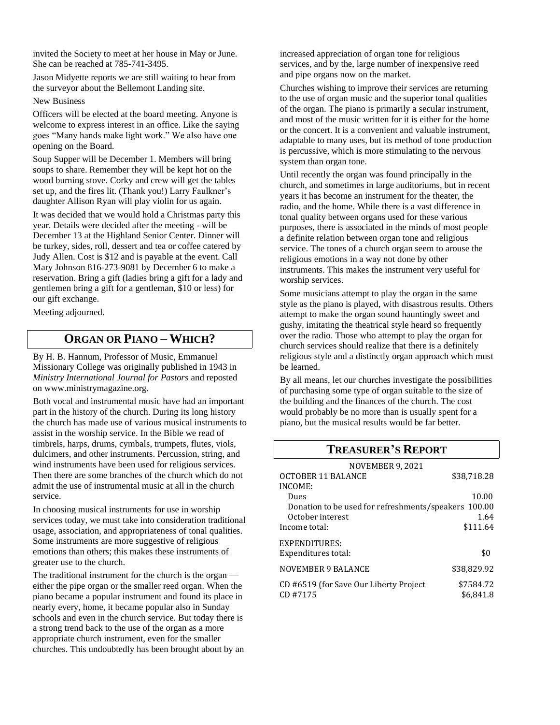invited the Society to meet at her house in May or June. She can be reached at 785-741-3495.

Jason Midyette reports we are still waiting to hear from the surveyor about the Bellemont Landing site.

#### New Business

Officers will be elected at the board meeting. Anyone is welcome to express interest in an office. Like the saying goes "Many hands make light work." We also have one opening on the Board.

Soup Supper will be December 1. Members will bring soups to share. Remember they will be kept hot on the wood burning stove. Corky and crew will get the tables set up, and the fires lit. (Thank you!) Larry Faulkner's daughter Allison Ryan will play violin for us again.

It was decided that we would hold a Christmas party this year. Details were decided after the meeting - will be December 13 at the Highland Senior Center. Dinner will be turkey, sides, roll, dessert and tea or coffee catered by Judy Allen. Cost is \$12 and is payable at the event. Call Mary Johnson 816-273-9081 by December 6 to make a reservation. Bring a gift (ladies bring a gift for a lady and gentlemen bring a gift for a gentleman, \$10 or less) for our gift exchange.

Meeting adjourned.

# **ORGAN OR PIANO – WHICH?**

By H. B. Hannum, Professor of Music, Emmanuel Missionary College was originally published in 1943 in *Ministry International Journal for Pastors* and reposted on www.ministrymagazine.org.

Both vocal and instrumental music have had an important part in the history of the church. During its long history the church has made use of various musical instruments to assist in the worship service. In the Bible we read of timbrels, harps, drums, cymbals, trumpets, flutes, viols, dulcimers, and other instruments. Percussion, string, and wind instruments have been used for religious services. Then there are some branches of the church which do not admit the use of instrumental music at all in the church service.

In choosing musical instruments for use in worship services today, we must take into consideration traditional usage, association, and appropriateness of tonal qualities. Some instruments are more suggestive of religious emotions than others; this makes these instruments of greater use to the church.

The traditional instrument for the church is the organ either the pipe organ or the smaller reed organ. When the piano became a popular instrument and found its place in nearly every, home, it became popular also in Sunday schools and even in the church service. But today there is a strong trend back to the use of the organ as a more appropriate church instrument, even for the smaller churches. This undoubtedly has been brought about by an increased appreciation of organ tone for religious services, and by the, large number of inexpensive reed and pipe organs now on the market.

Churches wishing to improve their services are returning to the use of organ music and the superior tonal qualities of the organ. The piano is primarily a secular instrument, and most of the music written for it is either for the home or the concert. It is a convenient and valuable instrument, adaptable to many uses, but its method of tone production is percussive, which is more stimulating to the nervous system than organ tone.

Until recently the organ was found principally in the church, and sometimes in large auditoriums, but in recent years it has become an instrument for the theater, the radio, and the home. While there is a vast difference in tonal quality between organs used for these various purposes, there is associated in the minds of most people a definite relation between organ tone and religious service. The tones of a church organ seem to arouse the religious emotions in a way not done by other instruments. This makes the instrument very useful for worship services.

Some musicians attempt to play the organ in the same style as the piano is played, with disastrous results. Others attempt to make the organ sound hauntingly sweet and gushy, imitating the theatrical style heard so frequently over the radio. Those who attempt to play the organ for church services should realize that there is a definitely religious style and a distinctly organ approach which must be learned.

By all means, let our churches investigate the possibilities of purchasing some type of organ suitable to the size of the building and the finances of the church. The cost would probably be no more than is usually spent for a piano, but the musical results would be far better.

### **TREASURER'S REPORT**

| <b>NOVEMBER 9, 2021</b>                              |             |
|------------------------------------------------------|-------------|
| <b>OCTOBER 11 BALANCE</b>                            | \$38,718.28 |
| INCOME:                                              |             |
| Dues                                                 | 10.00       |
| Donation to be used for refreshments/speakers 100.00 |             |
| October interest                                     | 1.64        |
| Income total:                                        | \$111.64    |
| EXPENDITURES:                                        |             |
| Expenditures total:                                  | \$0         |
| <b>NOVEMBER 9 BALANCE</b>                            | \$38,829.92 |
| CD #6519 (for Save Our Liberty Project               | \$7584.72   |
| CD#7175                                              | \$6,841.8   |